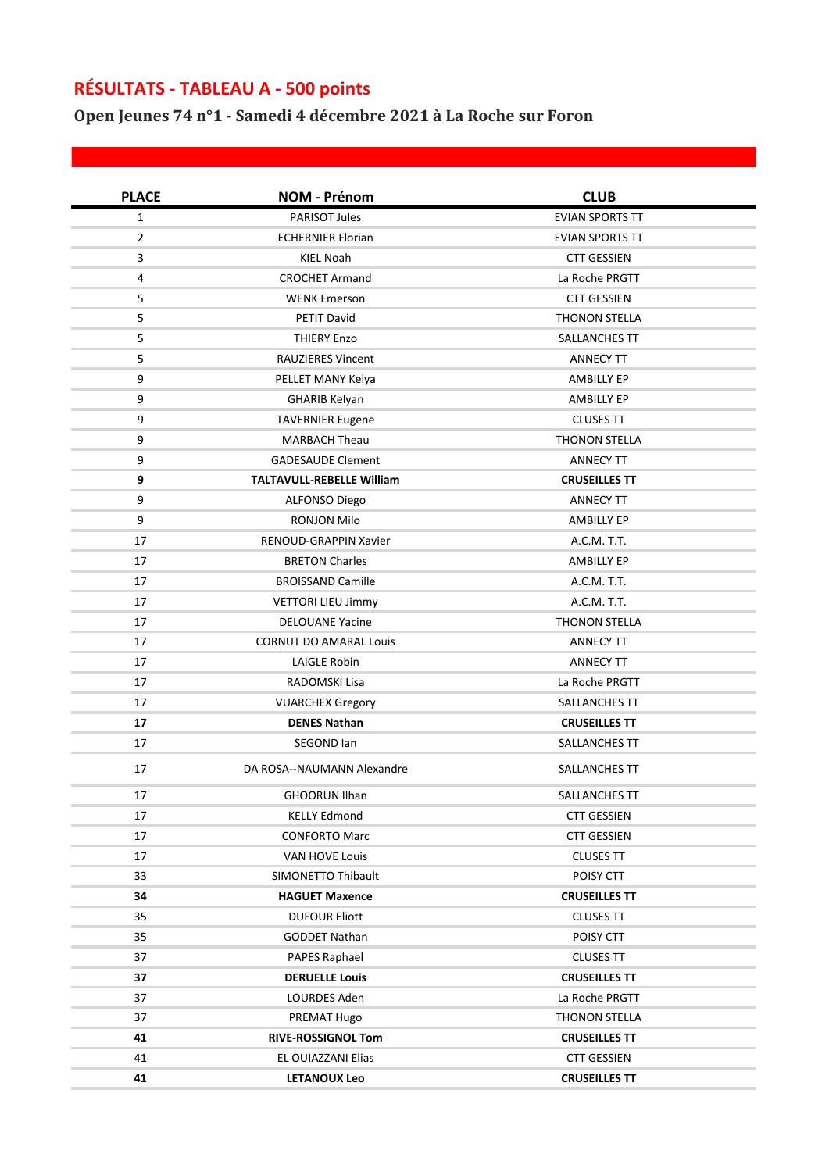## **RÉSULTATS - TABLEAU A - 500 points**

**Open Jeunes 74 n°1 - Samedi 4 décembre 2021 à La Roche sur Foron**

| <b>PLACE</b>   | <b>NOM - Prénom</b>              | <b>CLUB</b>            |
|----------------|----------------------------------|------------------------|
| $\mathbf{1}$   | <b>PARISOT Jules</b>             | <b>EVIAN SPORTS TT</b> |
| $\overline{2}$ | <b>ECHERNIER Florian</b>         | <b>EVIAN SPORTS TT</b> |
| $\mathbf{3}$   | KIEL Noah                        | <b>CTT GESSIEN</b>     |
| 4              | <b>CROCHET Armand</b>            | La Roche PRGTT         |
| 5              | <b>WENK Emerson</b>              | <b>CTT GESSIEN</b>     |
| 5              | <b>PETIT David</b>               | <b>THONON STELLA</b>   |
| 5              | <b>THIERY Enzo</b>               | SALLANCHES TT          |
| 5              | <b>RAUZIERES Vincent</b>         | <b>ANNECY TT</b>       |
| 9              | PELLET MANY Kelya                | AMBILLY EP             |
| 9              | <b>GHARIB Kelyan</b>             | <b>AMBILLY EP</b>      |
| 9              | <b>TAVERNIER Eugene</b>          | <b>CLUSES TT</b>       |
| 9              | <b>MARBACH Theau</b>             | <b>THONON STELLA</b>   |
| 9              | <b>GADESAUDE Clement</b>         | <b>ANNECY TT</b>       |
| 9              | <b>TALTAVULL-REBELLE William</b> | <b>CRUSEILLES TT</b>   |
| 9              | ALFONSO Diego                    | <b>ANNECY TT</b>       |
| 9              | <b>RONJON Milo</b>               | <b>AMBILLY EP</b>      |
| 17             | <b>RENOUD-GRAPPIN Xavier</b>     | A.C.M. T.T.            |
| 17             | <b>BRETON Charles</b>            | <b>AMBILLY EP</b>      |
| 17             | <b>BROISSAND Camille</b>         | A.C.M. T.T.            |
| 17             | <b>VETTORI LIEU Jimmy</b>        | A.C.M. T.T.            |
| 17             | <b>DELOUANE Yacine</b>           | <b>THONON STELLA</b>   |
| 17             | <b>CORNUT DO AMARAL Louis</b>    | <b>ANNECY TT</b>       |
| 17             | <b>LAIGLE Robin</b>              | <b>ANNECY TT</b>       |
| 17             | RADOMSKI Lisa                    | La Roche PRGTT         |
| 17             | <b>VUARCHEX Gregory</b>          | SALLANCHES TT          |
| 17             | <b>DENES Nathan</b>              | <b>CRUSEILLES TT</b>   |
| 17             | SEGOND Ian                       | SALLANCHES TT          |
| 17             | DA ROSA--NAUMANN Alexandre       | SALLANCHES TT          |
| 17             | <b>GHOORUN Ilhan</b>             | SALLANCHES TT          |
| 17             | <b>KELLY Edmond</b>              | <b>CTT GESSIEN</b>     |
| 17             | <b>CONFORTO Marc</b>             | <b>CTT GESSIEN</b>     |
| 17             | VAN HOVE Louis                   | <b>CLUSES TT</b>       |
| 33             | <b>SIMONETTO Thibault</b>        | POISY CTT              |
| 34             | <b>HAGUET Maxence</b>            | <b>CRUSEILLES TT</b>   |
| 35             | <b>DUFOUR Eliott</b>             | <b>CLUSES TT</b>       |
| 35             | <b>GODDET Nathan</b>             | POISY CTT              |
| 37             | PAPES Raphael                    | <b>CLUSES TT</b>       |
| 37             | <b>DERUELLE Louis</b>            | <b>CRUSEILLES TT</b>   |
| 37             | LOURDES Aden                     | La Roche PRGTT         |
| 37             | PREMAT Hugo                      | THONON STELLA          |
| 41             | <b>RIVE-ROSSIGNOL Tom</b>        | <b>CRUSEILLES TT</b>   |
| 41             | EL OUIAZZANI Elias               | <b>CTT GESSIEN</b>     |
| 41             | <b>LETANOUX Leo</b>              | <b>CRUSEILLES TT</b>   |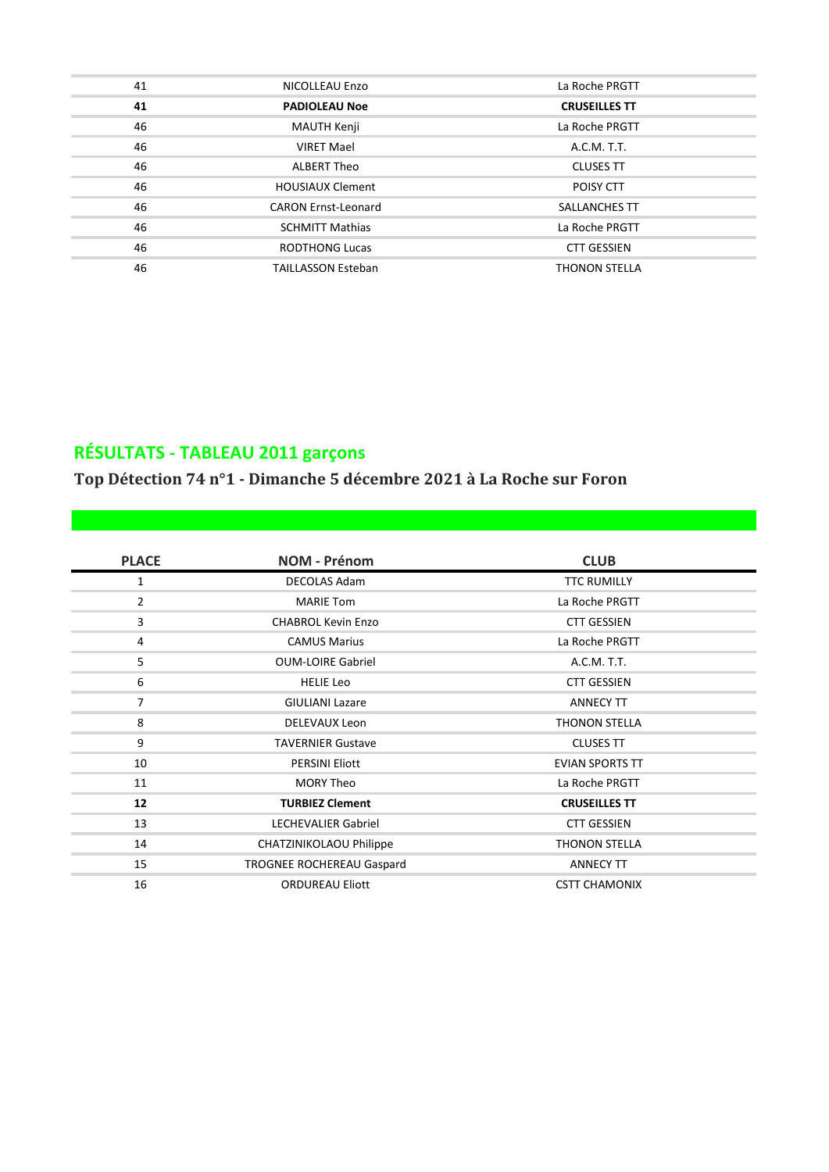| 41 | NICOLLEAU Enzo             | La Roche PRGTT       |
|----|----------------------------|----------------------|
| 41 | <b>PADIOLEAU Noe</b>       | <b>CRUSEILLES TT</b> |
| 46 | MAUTH Kenji                | La Roche PRGTT       |
| 46 | <b>VIRET Mael</b>          | A.C.M. T.T.          |
| 46 | ALBERT Theo                | <b>CLUSES TT</b>     |
| 46 | <b>HOUSIAUX Clement</b>    | POISY CTT            |
| 46 | <b>CARON Ernst-Leonard</b> | <b>SALLANCHES TT</b> |
| 46 | <b>SCHMITT Mathias</b>     | La Roche PRGTT       |
| 46 | <b>RODTHONG Lucas</b>      | <b>CTT GESSIEN</b>   |
| 46 | <b>TAILLASSON Esteban</b>  | <b>THONON STELLA</b> |

## **RÉSULTATS - TABLEAU 2011 garçons**

**Top Détection 74 n°1 - Dimanche 5 décembre 2021 à La Roche sur Foron**

| <b>PLACE</b>   | <b>NOM - Prénom</b>        | <b>CLUB</b>            |
|----------------|----------------------------|------------------------|
| 1              | <b>DECOLAS Adam</b>        | <b>TTC RUMILLY</b>     |
| $\overline{2}$ | <b>MARIE Tom</b>           | La Roche PRGTT         |
| 3              | <b>CHABROL Kevin Enzo</b>  | <b>CTT GESSIEN</b>     |
| 4              | <b>CAMUS Marius</b>        | La Roche PRGTT         |
| 5              | <b>OUM-LOIRE Gabriel</b>   | A.C.M. T.T.            |
| 6              | <b>HELIE Leo</b>           | <b>CTT GESSIEN</b>     |
| $\overline{7}$ | <b>GIULIANI Lazare</b>     | <b>ANNECY TT</b>       |
| 8              | DELEVAUX Leon              | <b>THONON STELLA</b>   |
| 9              | <b>TAVERNIER Gustave</b>   | <b>CLUSES TT</b>       |
| 10             | <b>PERSINI Eliott</b>      | <b>EVIAN SPORTS TT</b> |
| 11             | <b>MORY Theo</b>           | La Roche PRGTT         |
| 12             | <b>TURBIEZ Clement</b>     | <b>CRUSEILLES TT</b>   |
| 13             | <b>LECHEVALIER Gabriel</b> | <b>CTT GESSIEN</b>     |
| 14             | CHATZINIKOLAOU Philippe    | <b>THONON STELLA</b>   |
| 15             | TROGNEE ROCHEREAU Gaspard  | <b>ANNECY TT</b>       |
| 16             | <b>ORDUREAU Eliott</b>     | <b>CSTT CHAMONIX</b>   |